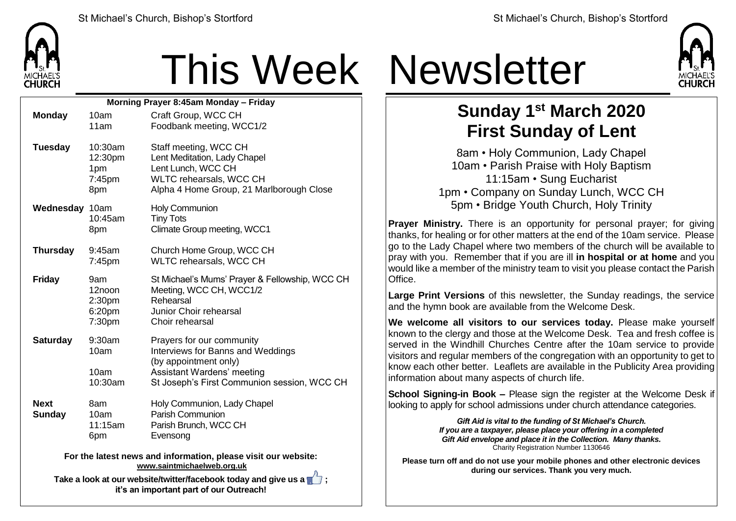

## This Week Newsletter

| Morning Prayer 8:45am Monday - Friday                                                             |                                                         |                                                                                                                                                                      |  |  |
|---------------------------------------------------------------------------------------------------|---------------------------------------------------------|----------------------------------------------------------------------------------------------------------------------------------------------------------------------|--|--|
| <b>Monday</b>                                                                                     | 10am                                                    | Craft Group, WCC CH                                                                                                                                                  |  |  |
|                                                                                                   | 11am                                                    | Foodbank meeting, WCC1/2                                                                                                                                             |  |  |
| <b>Tuesday</b>                                                                                    | 10:30am<br>12:30pm<br>1pm<br>7:45pm<br>8pm              | Staff meeting, WCC CH<br>Lent Meditation, Lady Chapel<br>Lent Lunch, WCC CH<br>WLTC rehearsals, WCC CH<br>Alpha 4 Home Group, 21 Marlborough Close                   |  |  |
| Wednesday 10am                                                                                    | 10:45am<br>8pm                                          | <b>Holy Communion</b><br><b>Tiny Tots</b><br>Climate Group meeting, WCC1                                                                                             |  |  |
|                                                                                                   |                                                         |                                                                                                                                                                      |  |  |
| <b>Thursday</b>                                                                                   | 9:45am<br>7:45pm                                        | Church Home Group, WCC CH<br><b>WLTC rehearsals, WCC CH</b>                                                                                                          |  |  |
| <b>Friday</b>                                                                                     | 9am<br>12noon<br>2:30 <sub>pm</sub><br>6:20pm<br>7:30pm | St Michael's Mums' Prayer & Fellowship, WCC CH<br>Meeting, WCC CH, WCC1/2<br>Rehearsal<br>Junior Choir rehearsal<br>Choir rehearsal                                  |  |  |
| <b>Saturday</b>                                                                                   | 9:30am<br>10am<br>10am<br>10:30am                       | Prayers for our community<br>Interviews for Banns and Weddings<br>(by appointment only)<br>Assistant Wardens' meeting<br>St Joseph's First Communion session, WCC CH |  |  |
| <b>Next</b><br><b>Sunday</b>                                                                      | 8am<br>10am<br>11:15am<br>6pm                           | Holy Communion, Lady Chapel<br>Parish Communion<br>Parish Brunch, WCC CH<br>Evensong                                                                                 |  |  |
| For the latest news and information, please visit our website:<br>www.saintmichaelweb.org.uk<br>л |                                                         |                                                                                                                                                                      |  |  |

**Take a look at our website/twitter/facebook today and give us a**  $\blacksquare$ **; it's an important part of our Outreach!**



## **Sunday 1 st March 2020 First Sunday of Lent**

8am • Holy Communion, Lady Chapel 10am • Parish Praise with Holy Baptism 11:15am • Sung Eucharist 1pm • Company on Sunday Lunch, WCC CH 5pm • Bridge Youth Church, Holy Trinity

**Prayer Ministry.** There is an opportunity for personal prayer; for giving thanks, for healing or for other matters at the end of the 10am service. Please go to the Lady Chapel where two members of the church will be available to pray with you. Remember that if you are ill **in hospital or at home** and you would like a member of the ministry team to visit you please contact the Parish Office.

**Large Print Versions** of this newsletter, the Sunday readings, the service and the hymn book are available from the Welcome Desk.

**We welcome all visitors to our services today.** Please make yourself known to the clergy and those at the Welcome Desk. Tea and fresh coffee is served in the Windhill Churches Centre after the 10am service to provide visitors and regular members of the congregation with an opportunity to get to know each other better. Leaflets are available in the Publicity Area providing information about many aspects of church life.

**School Signing-in Book –** Please sign the register at the Welcome Desk if looking to apply for school admissions under church attendance categories.

> *Gift Aid is vital to the funding of St Michael's Church. If you are a taxpayer, please place your offering in a completed Gift Aid envelope and place it in the Collection. Many thanks.* Charity Registration Number 1130646

**Please turn off and do not use your mobile phones and other electronic devices during our services. Thank you very much.**